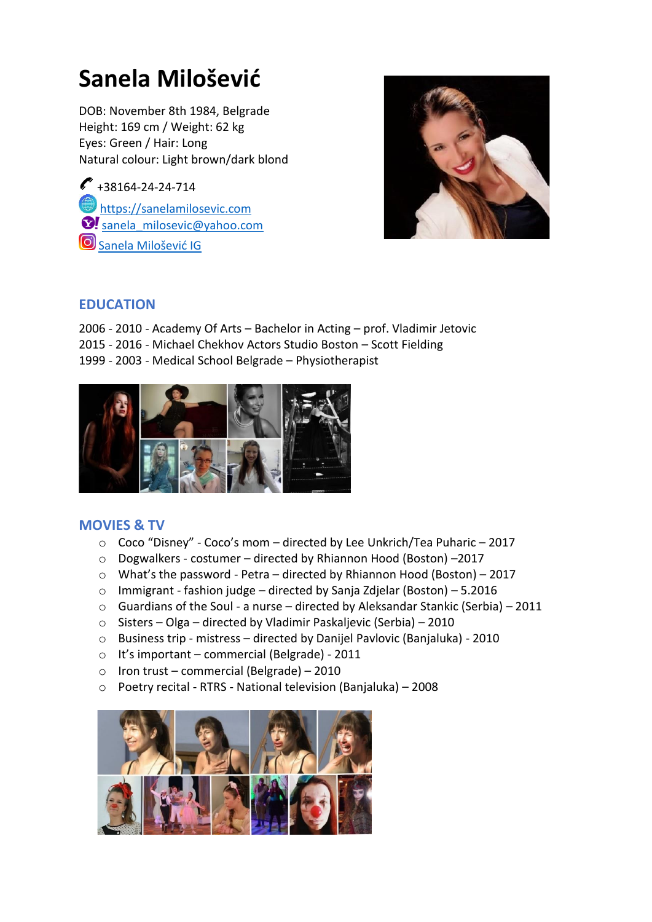# **Sanela Milošević**

DOB: November 8th 1984, Belgrade Height: 169 cm / Weight: 62 kg Eyes: Green / Hair: Long Natural colour: Light brown/dark blond

 $\bullet$  +38164-24-24-714 https://sanelamilosevic.com S! [sanela\\_milosevic@yahoo.com](mailto:sanela_milosevic@yahoo.com) [Sanela Milošević IG](https://www.instagram.com/sanela_milosevic_rs/)



# **EDUCATION**

- 2006 2010 Academy Of Arts Bachelor in Acting prof. Vladimir Jetovic
- 2015 2016 Michael Chekhov Actors Studio Boston Scott Fielding
- 1999 2003 Medical School Belgrade Physiotherapist



# **MOVIES & TV**

- o Coco "Disney" Coco's mom directed by Lee Unkrich/Tea Puharic 2017
- o Dogwalkers costumer directed by Rhiannon Hood (Boston) –2017
- $\circ$  What's the password Petra directed by Rhiannon Hood (Boston) 2017
- o Immigrant fashion judge directed by Sanja Zdjelar (Boston) 5.2016
- o [Guardians of the Soul](https://sanelamilosevic.com/guardians-of-the-soul-cuvari-duse) a nurse directed by Aleksandar Stankic (Serbia) 2011
- o [Sisters](https://sanelamilosevic.com/sisters) Olga directed by Vladimir Paskaljevic (Serbia) 2010
- o Business trip mistress directed by Danijel Pavlovic (Banjaluka) 2010
- o [It's important](https://sanelamilosevic.com/mirko-i-sandra-sanja-reklama) commercial (Belgrade) 2011
- $\circ$  Iron trust commercial (Belgrade) 2010
- o Poetry recital RTRS National television (Banjaluka) 2008

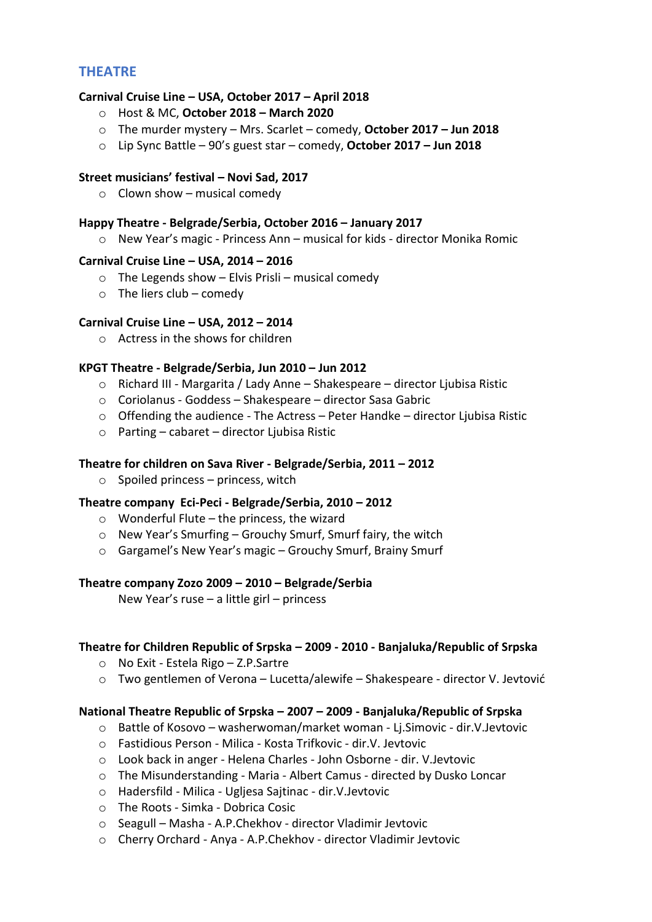# **THEATRE**

# **Carnival Cruise Line – USA, October 2017 – April 2018**

- o Host & MC, **October 2018 – March 2020**
- o The murder mystery Mrs. Scarlet comedy, **October 2017 – Jun 2018**
- o Lip Sync Battle 90's guest star comedy, **October 2017 – Jun 2018**

#### **Street musicians' festival – Novi Sad, 2017**

 $\circ$  Clown show – musical comedy

#### **Happy Theatre - Belgrade/Serbia, October 2016 – January 2017**

o [New Year's magic](https://sanelamilosevic.com/new-year-magic-novogodisnje-carolije) - Princess Ann – musical for kids - director Monika Romic

#### **Carnival Cruise Line – USA, 2014 – 2016**

- $\circ$  The Legends show Elvis Prisli musical comedy
- $\circ$  The liers club comedy

# **Carnival Cruise Line – USA, 2012 – 2014**

o Actress in the shows for children

#### **KPGT Theatre - Belgrade/Serbia, Jun 2010 – Jun 2012**

- o [Richard III](https://sanelamilosevic.com/king-richard-iii-ricard-iii) Margarita / Lady Anne Shakespeare director Ljubisa Ristic
- o [Coriolanus](https://sanelamilosevic.com/coriolanus-koriolan) Goddess Shakespeare director Sasa Gabric
- $\circ$  [Offending the audience](https://sanelamilosevic.com/offending-the-audience-psovanje-publike) The Actress Peter Handke director Ljubisa Ristic
- $\circ$  [Parting](https://sanelamilosevic.com/parting-razdeljak)  cabaret director Ljubisa Ristic

#### **Theatre for children on Sava River - Belgrade/Serbia, 2011 – 2012**

 $\circ$  Spoiled princess – princess, witch

#### **Theatre company Eci-Peci - Belgrade/Serbia, 2010 – 2012**

- $\circ$  Wonderful Flute the princess, the wizard
- o New Year's Smurfing Grouchy Smurf, Smurf fairy, the witch
- o Gargamel's New Year's magic Grouchy Smurf, Brainy Smurf

#### **Theatre company Zozo 2009 – 2010 – Belgrade/Serbia**

New Year's ruse – a little girl – princess

#### **Theatre for Children Republic of Srpska – 2009 - 2010 - Banjaluka/Republic of Srpska**

- o [No Exit](https://sanelamilosevic.com/no-exit-iza-zatvorenih-vrata) Estela Rigo Z.P.Sartre
- $\circ$  Two gentlemen of Verona Lucetta/alewife Shakespeare director V. Jevtović

# **National Theatre Republic of Srpska – 2007 – 2009 - Banjaluka/Republic of Srpska**

- o Battle of Kosovo washerwoman/market woman Lj.Simovic dir.V.Jevtovic
- o Fastidious Person Milica Kosta Trifkovic dir.V. Jevtovic
- o Look back in anger Helena Charles John Osborne dir. V.Jevtovic
- o The Misunderstanding Maria Albert Camus directed by Dusko Loncar
- o Hadersfild Milica Ugljesa Sajtinac dir.V.Jevtovic
- o The Roots Simka Dobrica Cosic
- o Seagull Masha A.P.Chekhov director Vladimir Jevtovic
- o Cherry Orchard Anya A.P.Chekhov director Vladimir Jevtovic